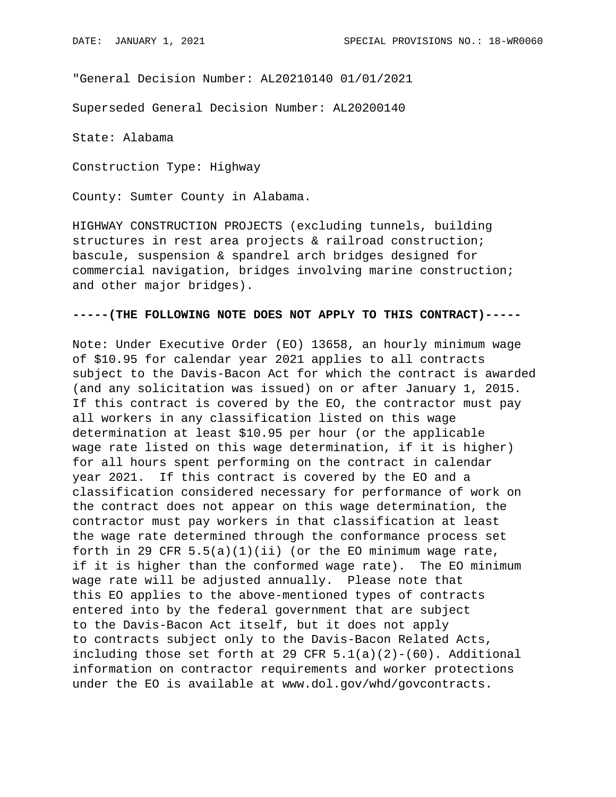"General Decision Number: AL20210140 01/01/2021

Superseded General Decision Number: AL20200140

State: Alabama

Construction Type: Highway

County: Sumter County in Alabama.

HIGHWAY CONSTRUCTION PROJECTS (excluding tunnels, building structures in rest area projects & railroad construction; bascule, suspension & spandrel arch bridges designed for commercial navigation, bridges involving marine construction; and other major bridges).

## **-----(THE FOLLOWING NOTE DOES NOT APPLY TO THIS CONTRACT)-----**

Note: Under Executive Order (EO) 13658, an hourly minimum wage of \$10.95 for calendar year 2021 applies to all contracts subject to the Davis-Bacon Act for which the contract is awarded (and any solicitation was issued) on or after January 1, 2015. If this contract is covered by the EO, the contractor must pay all workers in any classification listed on this wage determination at least \$10.95 per hour (or the applicable wage rate listed on this wage determination, if it is higher) for all hours spent performing on the contract in calendar year 2021. If this contract is covered by the EO and a classification considered necessary for performance of work on the contract does not appear on this wage determination, the contractor must pay workers in that classification at least the wage rate determined through the conformance process set forth in 29 CFR  $5.5(a)(1)(ii)$  (or the EO minimum wage rate, if it is higher than the conformed wage rate). The EO minimum wage rate will be adjusted annually. Please note that this EO applies to the above-mentioned types of contracts entered into by the federal government that are subject to the Davis-Bacon Act itself, but it does not apply to contracts subject only to the Davis-Bacon Related Acts, including those set forth at 29 CFR  $5.1(a)(2)-(60)$ . Additional information on contractor requirements and worker protections under the EO is available at www.dol.gov/whd/govcontracts.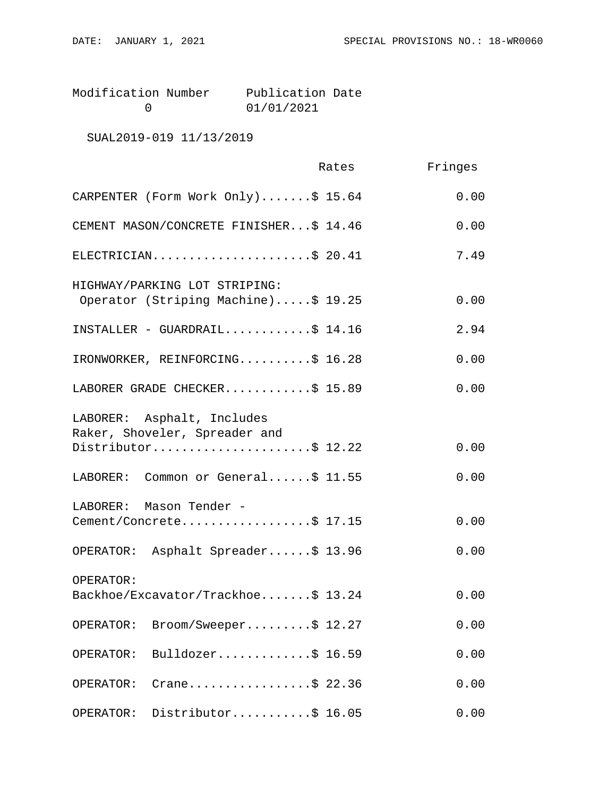| Modification Number | Publication Date |  |
|---------------------|------------------|--|
|                     | 01/01/2021       |  |

SUAL2019-019 11/13/2019

|                                                                      | Rates | Fringes |
|----------------------------------------------------------------------|-------|---------|
| CARPENTER (Form Work Only)\$ 15.64                                   |       | 0.00    |
| CEMENT MASON/CONCRETE FINISHER\$ 14.46                               |       | 0.00    |
| ELECTRICIAN\$ 20.41                                                  |       | 7.49    |
| HIGHWAY/PARKING LOT STRIPING:<br>Operator (Striping Machine)\$ 19.25 |       | 0.00    |
| INSTALLER - GUARDRAIL\$ 14.16                                        |       | 2.94    |
| IRONWORKER, REINFORCING\$ 16.28                                      |       | 0.00    |
| LABORER GRADE CHECKER\$ 15.89                                        |       | 0.00    |
| LABORER: Asphalt, Includes<br>Raker, Shoveler, Spreader and          |       |         |
| Distributor\$ 12.22                                                  |       | 0.00    |
| LABORER: Common or General\$ 11.55                                   |       | 0.00    |
| LABORER: Mason Tender -<br>Cement/Concrete\$ 17.15                   |       | 0.00    |
| OPERATOR: Asphalt Spreader\$ 13.96                                   |       | 0.00    |
| OPERATOR:                                                            |       |         |
| Backhoe/Excavator/Trackhoe\$ 13.24                                   |       | 0.00    |
| Broom/Sweeper\$ 12.27<br>OPERATOR:                                   |       | 0.00    |
| Bulldozer\$ 16.59<br>OPERATOR:                                       |       | 0.00    |
| Crane\$ 22.36<br>OPERATOR:                                           |       | 0.00    |
| Distributor\$ 16.05<br>OPERATOR:                                     |       | 0.00    |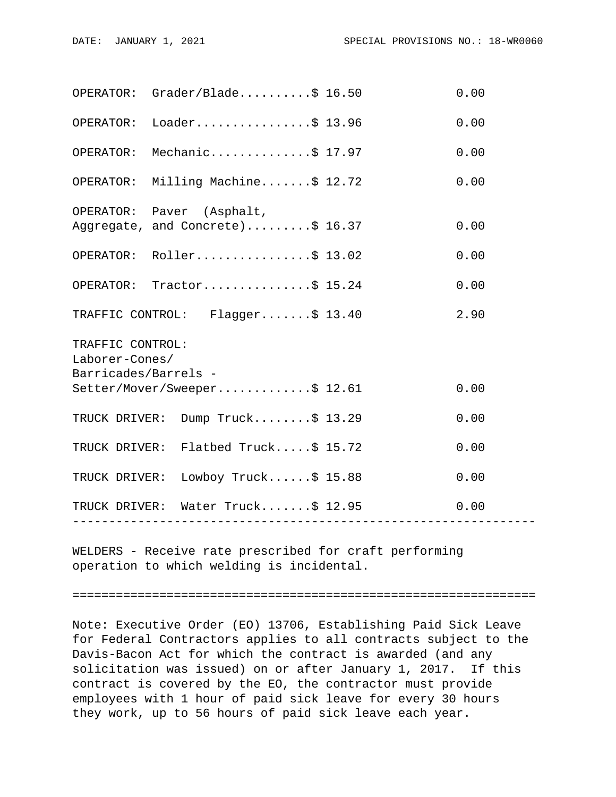|                                                            | OPERATOR: Grader/Black                                        |  | 0.00 |  |  |
|------------------------------------------------------------|---------------------------------------------------------------|--|------|--|--|
|                                                            | OPERATOR: Loader\$ 13.96                                      |  | 0.00 |  |  |
| OPERATOR:                                                  | Mechanic\$ 17.97                                              |  | 0.00 |  |  |
|                                                            | OPERATOR: Milling Machine\$ 12.72                             |  | 0.00 |  |  |
|                                                            | OPERATOR: Paver (Asphalt,<br>Aggregate, and Concrete)\$ 16.37 |  | 0.00 |  |  |
|                                                            | OPERATOR: Roller\$ 13.02                                      |  | 0.00 |  |  |
|                                                            | OPERATOR: Tractor\$ 15.24                                     |  | 0.00 |  |  |
|                                                            | TRAFFIC CONTROL: Flagger\$ 13.40                              |  | 2.90 |  |  |
| TRAFFIC CONTROL:<br>Laborer-Cones/<br>Barricades/Barrels - |                                                               |  |      |  |  |
|                                                            | Setter/Mover/Sweeper\$ 12.61                                  |  | 0.00 |  |  |
|                                                            | TRUCK DRIVER: Dump Truck\$ 13.29                              |  | 0.00 |  |  |
|                                                            | TRUCK DRIVER: Flatbed Truck\$ 15.72                           |  | 0.00 |  |  |
|                                                            | TRUCK DRIVER: Lowboy Truck\$ 15.88                            |  | 0.00 |  |  |
|                                                            | TRUCK DRIVER: Water Truck\$ 12.95                             |  | 0.00 |  |  |
|                                                            |                                                               |  |      |  |  |

WELDERS - Receive rate prescribed for craft performing operation to which welding is incidental.

================================================================

Note: Executive Order (EO) 13706, Establishing Paid Sick Leave for Federal Contractors applies to all contracts subject to the Davis-Bacon Act for which the contract is awarded (and any solicitation was issued) on or after January 1, 2017. If this contract is covered by the EO, the contractor must provide employees with 1 hour of paid sick leave for every 30 hours they work, up to 56 hours of paid sick leave each year.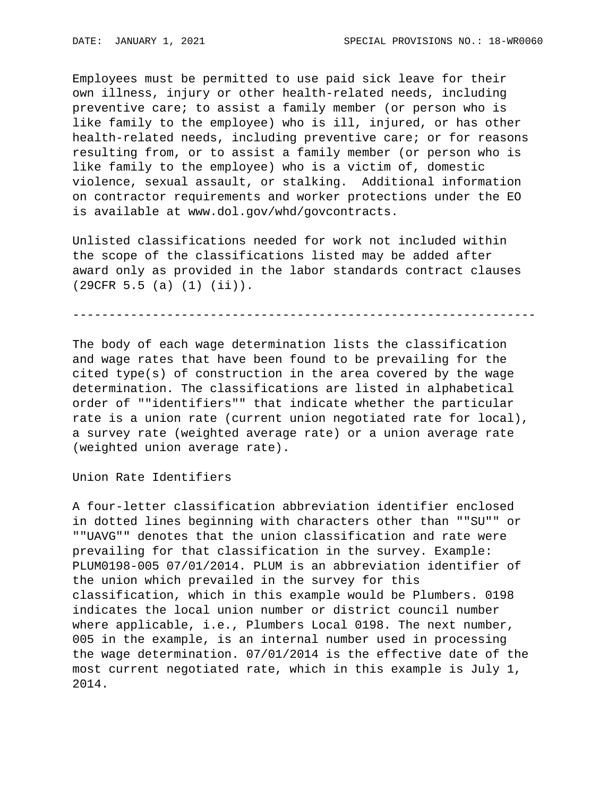Employees must be permitted to use paid sick leave for their own illness, injury or other health-related needs, including preventive care; to assist a family member (or person who is like family to the employee) who is ill, injured, or has other health-related needs, including preventive care; or for reasons resulting from, or to assist a family member (or person who is like family to the employee) who is a victim of, domestic violence, sexual assault, or stalking. Additional information on contractor requirements and worker protections under the EO is available at www.dol.gov/whd/govcontracts.

Unlisted classifications needed for work not included within the scope of the classifications listed may be added after award only as provided in the labor standards contract clauses (29CFR 5.5 (a) (1) (ii)).

----------------------------------------------------------------

The body of each wage determination lists the classification and wage rates that have been found to be prevailing for the cited type(s) of construction in the area covered by the wage determination. The classifications are listed in alphabetical order of ""identifiers"" that indicate whether the particular rate is a union rate (current union negotiated rate for local), a survey rate (weighted average rate) or a union average rate (weighted union average rate).

Union Rate Identifiers

A four-letter classification abbreviation identifier enclosed in dotted lines beginning with characters other than ""SU"" or ""UAVG"" denotes that the union classification and rate were prevailing for that classification in the survey. Example: PLUM0198-005 07/01/2014. PLUM is an abbreviation identifier of the union which prevailed in the survey for this classification, which in this example would be Plumbers. 0198 indicates the local union number or district council number where applicable, i.e., Plumbers Local 0198. The next number, 005 in the example, is an internal number used in processing the wage determination. 07/01/2014 is the effective date of the most current negotiated rate, which in this example is July 1, 2014.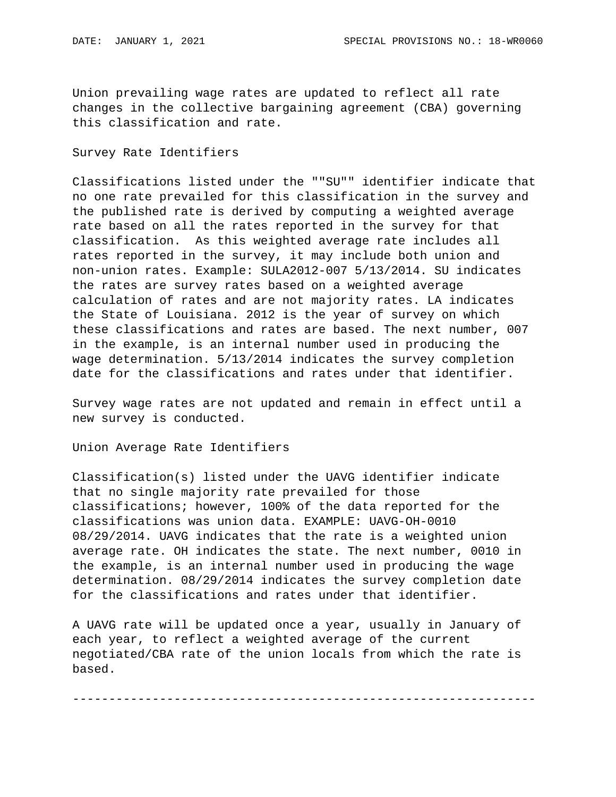Union prevailing wage rates are updated to reflect all rate changes in the collective bargaining agreement (CBA) governing this classification and rate.

## Survey Rate Identifiers

Classifications listed under the ""SU"" identifier indicate that no one rate prevailed for this classification in the survey and the published rate is derived by computing a weighted average rate based on all the rates reported in the survey for that classification. As this weighted average rate includes all rates reported in the survey, it may include both union and non-union rates. Example: SULA2012-007 5/13/2014. SU indicates the rates are survey rates based on a weighted average calculation of rates and are not majority rates. LA indicates the State of Louisiana. 2012 is the year of survey on which these classifications and rates are based. The next number, 007 in the example, is an internal number used in producing the wage determination. 5/13/2014 indicates the survey completion date for the classifications and rates under that identifier.

Survey wage rates are not updated and remain in effect until a new survey is conducted.

Union Average Rate Identifiers

Classification(s) listed under the UAVG identifier indicate that no single majority rate prevailed for those classifications; however, 100% of the data reported for the classifications was union data. EXAMPLE: UAVG-OH-0010 08/29/2014. UAVG indicates that the rate is a weighted union average rate. OH indicates the state. The next number, 0010 in the example, is an internal number used in producing the wage determination. 08/29/2014 indicates the survey completion date for the classifications and rates under that identifier.

A UAVG rate will be updated once a year, usually in January of each year, to reflect a weighted average of the current negotiated/CBA rate of the union locals from which the rate is based.

----------------------------------------------------------------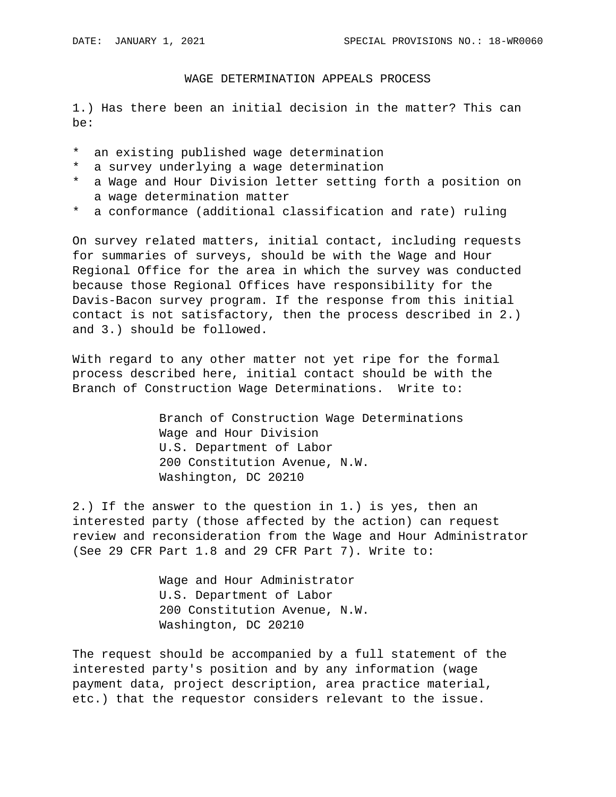## WAGE DETERMINATION APPEALS PROCESS

1.) Has there been an initial decision in the matter? This can be:

- \* an existing published wage determination
- \* a survey underlying a wage determination
- \* a Wage and Hour Division letter setting forth a position on a wage determination matter
- \* a conformance (additional classification and rate) ruling

On survey related matters, initial contact, including requests for summaries of surveys, should be with the Wage and Hour Regional Office for the area in which the survey was conducted because those Regional Offices have responsibility for the Davis-Bacon survey program. If the response from this initial contact is not satisfactory, then the process described in 2.) and 3.) should be followed.

With regard to any other matter not yet ripe for the formal process described here, initial contact should be with the Branch of Construction Wage Determinations. Write to:

> Branch of Construction Wage Determinations Wage and Hour Division U.S. Department of Labor 200 Constitution Avenue, N.W. Washington, DC 20210

2.) If the answer to the question in 1.) is yes, then an interested party (those affected by the action) can request review and reconsideration from the Wage and Hour Administrator (See 29 CFR Part 1.8 and 29 CFR Part 7). Write to:

> Wage and Hour Administrator U.S. Department of Labor 200 Constitution Avenue, N.W. Washington, DC 20210

The request should be accompanied by a full statement of the interested party's position and by any information (wage payment data, project description, area practice material, etc.) that the requestor considers relevant to the issue.